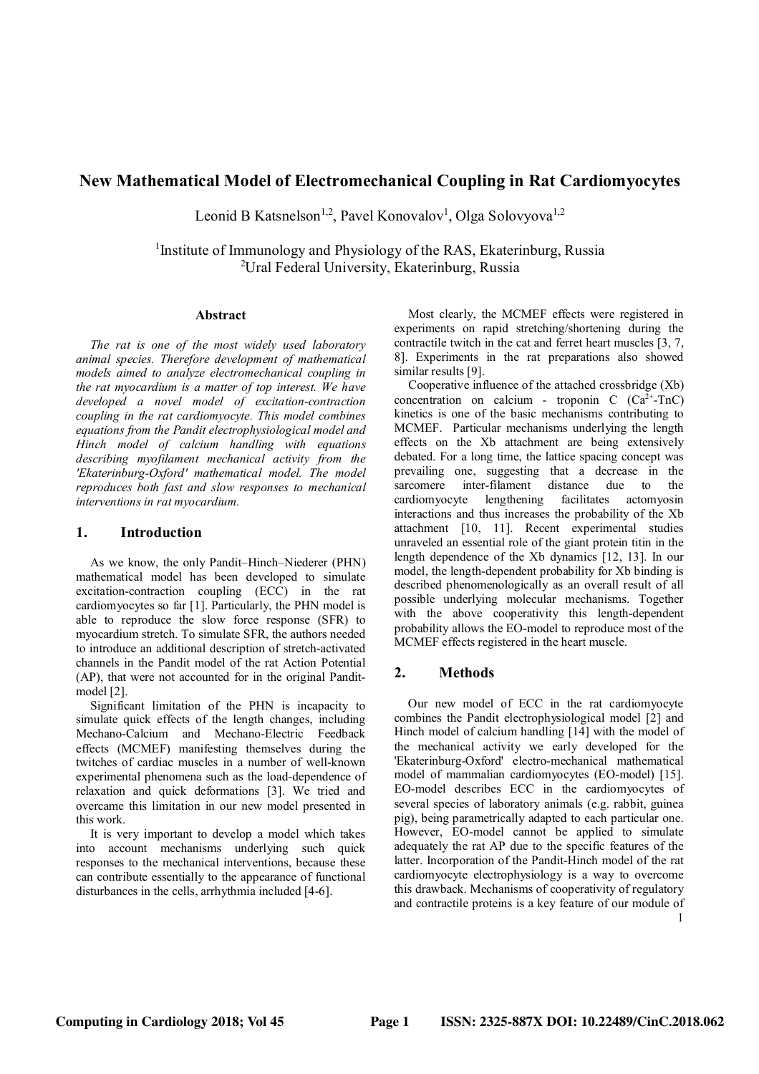# **New Mathematical Model of Electromechanical Coupling in Rat Cardiomyocytes**

Leonid B Katsnelson<sup>1,2</sup>, Pavel Konovalov<sup>1</sup>, Olga Solovyova<sup>1,2</sup>

<sup>1</sup> Institute of Immunology and Physiology of the RAS, Ekaterinburg, Russia <sup>2</sup>Ural Federal University, Ekaterinburg, Russia

#### **Abstract**

*The rat is one of the most widely used laboratory animal species. Therefore development of mathematical models aimed to analyze electromechanical coupling in the rat myocardium is a matter of top interest. We have developed a novel model of excitation-contraction coupling in the rat cardiomyocyte. This model combines equations from the Pandit electrophysiological model and Hinch model of calcium handling with equations describing myofilament mechanical activity from the 'Ekaterinburg-Oxford' mathematical model. The model reproduces both fast and slow responses to mechanical interventions in rat myocardium.*

### **1. Introduction**

As we know, the only Pandit–Hinch–Niederer (PHN) mathematical model has been developed to simulate excitation-contraction coupling (ECC) in the rat cardiomyocytes so far [1]. Particularly, the PHN model is able to reproduce the slow force response (SFR) to myocardium stretch. To simulate SFR, the authors needed to introduce an additional description of stretch-activated channels in the Pandit model of the rat Action Potential (AP), that were not accounted for in the original Panditmodel [2].

Significant limitation of the PHN is incapacity to simulate quick effects of the length changes, including Mechano-Calcium and Mechano-Electric Feedback effects (MCMEF) manifesting themselves during the twitches of cardiac muscles in a number of well-known experimental phenomena such as the load-dependence of relaxation and quick deformations [3]. We tried and overcame this limitation in our new model presented in this work.

It is very important to develop a model which takes into account mechanisms underlying such quick responses to the mechanical interventions, because these can contribute essentially to the appearance of functional disturbances in the cells, arrhythmia included [4-6].

Most clearly, the MCMEF effects were registered in experiments on rapid stretching/shortening during the contractile twitch in the cat and ferret heart muscles [3, 7, 8]. Experiments in the rat preparations also showed similar results [9].

Cooperative influence of the attached crossbridge (Xb) concentration on calcium - troponin C  $(Ca^{2+}-TnC)$ kinetics is one of the basic mechanisms contributing to MCMEF. Particular mechanisms underlying the length effects on the Xb attachment are being extensively debated. For a long time, the lattice spacing concept was prevailing one, suggesting that a decrease in the sarcomere inter-filament distance due to the cardiomyocyte lengthening facilitates actomyosin interactions and thus increases the probability of the Xb attachment [10, 11]. Recent experimental studies unraveled an essential role of the giant protein titin in the length dependence of the Xb dynamics [12, 13]. In our model, the length-dependent probability for Xb binding is described phenomenologically as an overall result of all possible underlying molecular mechanisms. Together with the above cooperativity this length-dependent probability allows the EO-model to reproduce most of the MCMEF effects registered in the heart muscle.

## **2. Methods**

Our new model of ECC in the rat cardiomyocyte combines the Pandit electrophysiological model [2] and Hinch model of calcium handling [14] with the model of the mechanical activity we early developed for the 'Ekaterinburg-Oxford' electro-mechanical mathematical model of mammalian cardiomyocytes (EO-model) [15]. EO-model describes ECC in the cardiomyocytes of several species of laboratory animals (e.g. rabbit, guinea pig), being parametrically adapted to each particular one. However, EO-model cannot be applied to simulate adequately the rat AP due to the specific features of the latter. Incorporation of the Pandit-Hinch model of the rat cardiomyocyte electrophysiology is a way to overcome this drawback. Mechanisms of cooperativity of regulatory and contractile proteins is a key feature of our module of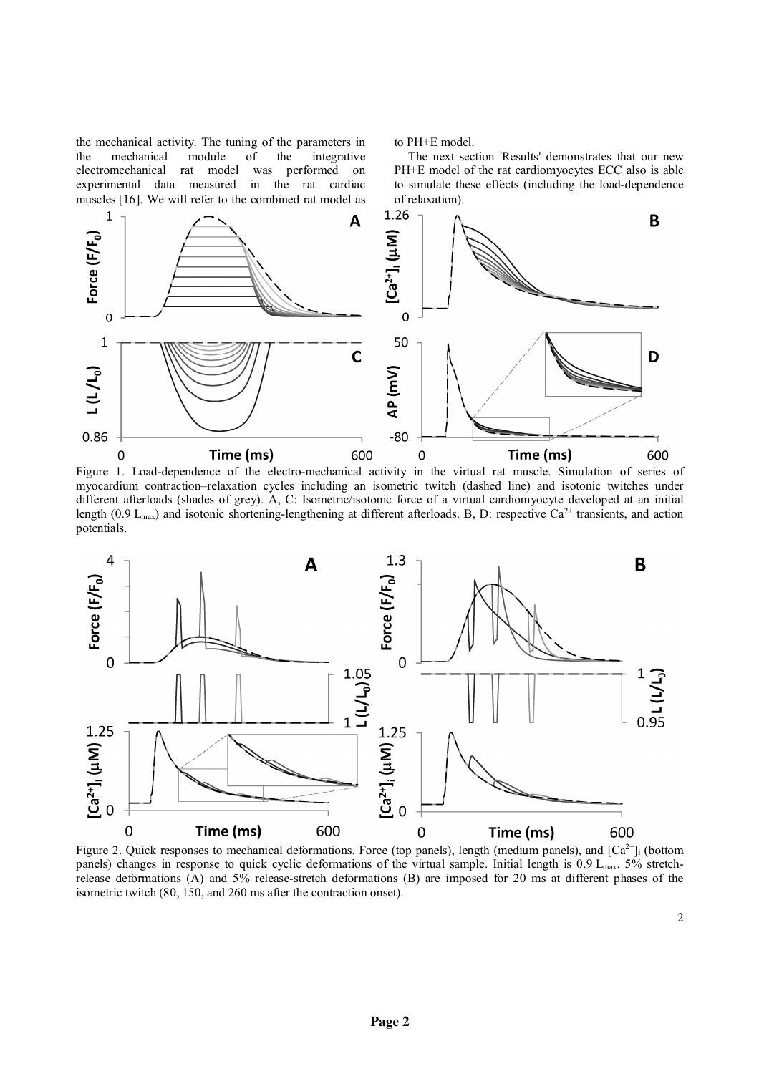the mechanical activity. The tuning of the parameters in the mechanical module of the integrative electromechanical rat model was performed on experimental data measured in the rat cardiac muscles [16]. We will refer to the combined rat model as to PH+E model.

The next section 'Results' demonstrates that our new PH+E model of the rat cardiomyocytes ECC also is able to simulate these effects (including the load-dependence of relaxation).



Figure 1. Load-dependence of the electro-mechanical activity in the virtual rat muscle. Simulation of series of myocardium contraction–relaxation cycles including an isometric twitch (dashed line) and isotonic twitches under different afterloads (shades of grey). A, C: Isometric/isotonic force of a virtual cardiomyocyte developed at an initial length (0.9 L<sub>max</sub>) and isotonic shortening-lengthening at different afterloads. B, D: respective Ca<sup>2+</sup> transients, and action potentials.



Figure 2. Quick responses to mechanical deformations. Force (top panels), length (medium panels), and  $[Ca^{2+}]_i$  (bottom panels) changes in response to quick cyclic deformations of the virtual sample. Initial length is 0.9 L<sub>max</sub>. 5% stretchrelease deformations (A) and 5% release-stretch deformations (B) are imposed for 20 ms at different phases of the isometric twitch (80, 150, and 260 ms after the contraction onset).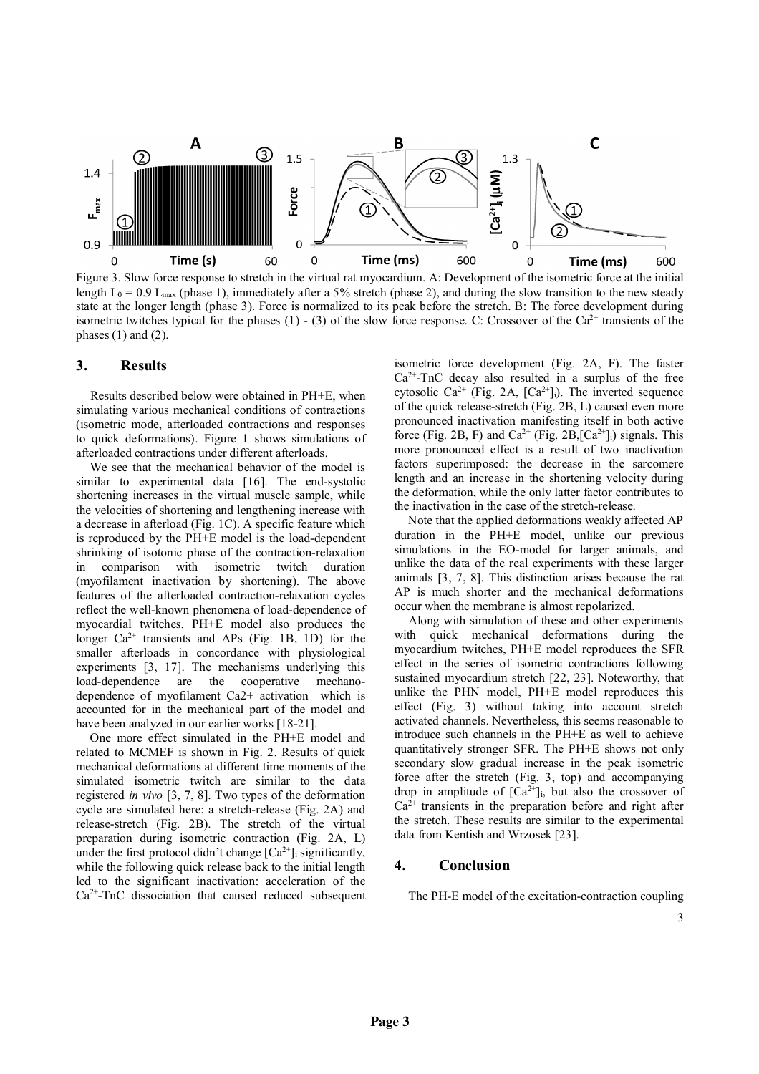

Figure 3. Slow force response to stretch in the virtual rat myocardium. A: Development of the isometric force at the initial length  $L_0 = 0.9$  L<sub>max</sub> (phase 1), immediately after a 5% stretch (phase 2), and during the slow transition to the new steady state at the longer length (phase 3). Force is normalized to its peak before the stretch. B: The force development during isometric twitches typical for the phases (1) - (3) of the slow force response. C: Crossover of the Ca<sup>2+</sup> transients of the phases  $(1)$  and  $(2)$ .

#### **3. Results**

Results described below were obtained in PH+E, when simulating various mechanical conditions of contractions (isometric mode, afterloaded contractions and responses to quick deformations). Figure 1 shows simulations of afterloaded contractions under different afterloads.

We see that the mechanical behavior of the model is similar to experimental data [16]. The end-systolic shortening increases in the virtual muscle sample, while the velocities of shortening and lengthening increase with a decrease in afterload (Fig. 1C). A specific feature which is reproduced by the PH+E model is the load-dependent shrinking of isotonic phase of the contraction-relaxation in comparison with isometric twitch duration (myofilament inactivation by shortening). The above features of the afterloaded contraction-relaxation cycles reflect the well-known phenomena of load-dependence of myocardial twitches. PH+E model also produces the longer  $Ca^{2+}$  transients and APs (Fig. 1B, 1D) for the smaller afterloads in concordance with physiological experiments [3, 17]. The mechanisms underlying this load-dependence are the cooperative mechanodependence of myofilament Ca2+ activation which is accounted for in the mechanical part of the model and have been analyzed in our earlier works [18-21].

One more effect simulated in the PH+E model and related to MCMEF is shown in Fig. 2. Results of quick mechanical deformations at different time moments of the simulated isometric twitch are similar to the data registered *in vivo* [3, 7, 8]. Two types of the deformation cycle are simulated here: a stretch-release (Fig. 2A) and release-stretch (Fig. 2B). The stretch of the virtual preparation during isometric contraction (Fig. 2A, L) under the first protocol didn't change  $[Ca^{2+}]$  significantly, while the following quick release back to the initial length led to the significant inactivation: acceleration of the  $Ca<sup>2+</sup>$ -TnC dissociation that caused reduced subsequent isometric force development (Fig. 2A, F). The faster  $Ca<sup>2+</sup>-TnC$  decay also resulted in a surplus of the free cytosolic Ca<sup>2+</sup> (Fig. 2A, [Ca<sup>2+</sup>]<sub>i</sub>). The inverted sequence of the quick release-stretch (Fig. 2B, L) caused even more pronounced inactivation manifesting itself in both active force (Fig. 2B, F) and  $Ca^{2+}$  (Fig. 2B,  $[Ca^{2+}]_i$ ) signals. This more pronounced effect is a result of two inactivation factors superimposed: the decrease in the sarcomere length and an increase in the shortening velocity during the deformation, while the only latter factor contributes to the inactivation in the case of the stretch-release.

Note that the applied deformations weakly affected AP duration in the PH+E model, unlike our previous simulations in the EO-model for larger animals, and unlike the data of the real experiments with these larger animals [3, 7, 8]. This distinction arises because the rat AP is much shorter and the mechanical deformations occur when the membrane is almost repolarized.

Along with simulation of these and other experiments with quick mechanical deformations during the myocardium twitches, PH+E model reproduces the SFR effect in the series of isometric contractions following sustained myocardium stretch [22, 23]. Noteworthy, that unlike the PHN model, PH+E model reproduces this effect (Fig. 3) without taking into account stretch activated channels. Nevertheless, this seems reasonable to introduce such channels in the PH+E as well to achieve quantitatively stronger SFR. The PH+E shows not only secondary slow gradual increase in the peak isometric force after the stretch (Fig. 3, top) and accompanying drop in amplitude of  $[Ca^{2+}]$ <sub>i</sub>, but also the crossover of  $Ca<sup>2+</sup>$  transients in the preparation before and right after the stretch. These results are similar to the experimental data from Kentish and Wrzosek [23].

#### **4. Conclusion**

The PH-E model of the excitation-contraction coupling

3